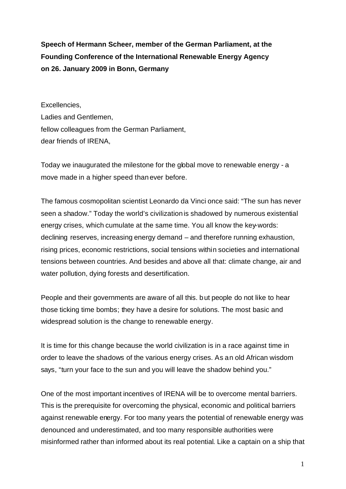**Speech of Hermann Scheer, member of the German Parliament, at the Founding Conference of the International Renewable Energy Agency on 26. January 2009 in Bonn, Germany**

Excellencies, Ladies and Gentlemen, fellow colleagues from the German Parliament, dear friends of IRENA,

Today we inaugurated the milestone for the global move to renewable energy - a move made in a higher speed than ever before.

The famous cosmopolitan scientist Leonardo da Vinci once said: "The sun has never seen a shadow." Today the world's civilization is shadowed by numerous existential energy crises, which cumulate at the same time. You all know the key-words: declining reserves, increasing energy demand – and therefore running exhaustion, rising prices, economic restrictions, social tensions within societies and international tensions between countries. And besides and above all that: climate change, air and water pollution, dying forests and desertification.

People and their governments are aware of all this. but people do not like to hear those ticking time bombs; they have a desire for solutions. The most basic and widespread solution is the change to renewable energy.

It is time for this change because the world civilization is in a race against time in order to leave the shadows of the various energy crises. As an old African wisdom says, "turn your face to the sun and you will leave the shadow behind you."

One of the most important incentives of IRENA will be to overcome mental barriers. This is the prerequisite for overcoming the physical, economic and political barriers against renewable energy. For too many years the potential of renewable energy was denounced and underestimated, and too many responsible authorities were misinformed rather than informed about its real potential. Like a captain on a ship that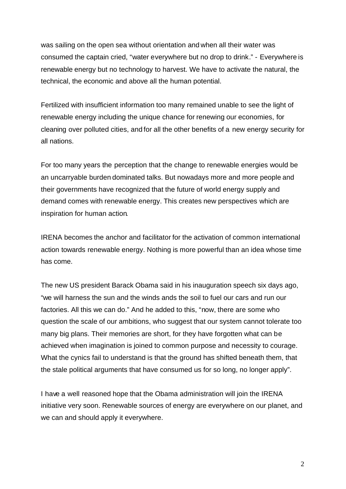was sailing on the open sea without orientation and when all their water was consumed the captain cried, "water everywhere but no drop to drink." - Everywhere is renewable energy but no technology to harvest. We have to activate the natural, the technical, the economic and above all the human potential.

Fertilized with insufficient information too many remained unable to see the light of renewable energy including the unique chance for renewing our economies, for cleaning over polluted cities, and for all the other benefits of a new energy security for all nations.

For too many years the perception that the change to renewable energies would be an uncarryable burden dominated talks. But nowadays more and more people and their governments have recognized that the future of world energy supply and demand comes with renewable energy. This creates new perspectives which are inspiration for human action.

IRENA becomes the anchor and facilitator for the activation of common international action towards renewable energy. Nothing is more powerful than an idea whose time has come.

The new US president Barack Obama said in his inauguration speech six days ago, "we will harness the sun and the winds ands the soil to fuel our cars and run our factories. All this we can do." And he added to this, "now, there are some who question the scale of our ambitions, who suggest that our system cannot tolerate too many big plans. Their memories are short, for they have forgotten what can be achieved when imagination is joined to common purpose and necessity to courage. What the cynics fail to understand is that the ground has shifted beneath them, that the stale political arguments that have consumed us for so long, no longer apply".

I have a well reasoned hope that the Obama administration will join the IRENA initiative very soon. Renewable sources of energy are everywhere on our planet, and we can and should apply it everywhere.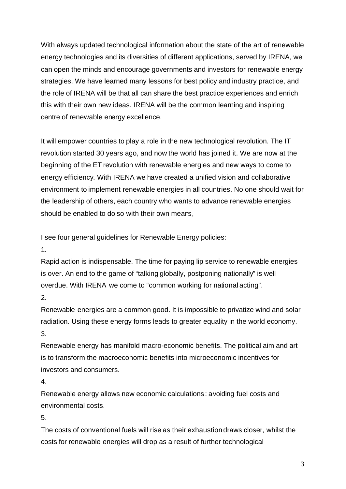With always updated technological information about the state of the art of renewable energy technologies and its diversities of different applications, served by IRENA, we can open the minds and encourage governments and investors for renewable energy strategies. We have learned many lessons for best policy and industry practice, and the role of IRENA will be that all can share the best practice experiences and enrich this with their own new ideas. IRENA will be the common learning and inspiring centre of renewable energy excellence.

It will empower countries to play a role in the new technological revolution. The IT revolution started 30 years ago, and now the world has joined it. We are now at the beginning of the ET revolution with renewable energies and new ways to come to energy efficiency. With IRENA we have created a unified vision and collaborative environment to implement renewable energies in all countries. No one should wait for the leadership of others, each country who wants to advance renewable energies should be enabled to do so with their own means,

I see four general guidelines for Renewable Energy policies:

1.

Rapid action is indispensable. The time for paying lip service to renewable energies is over. An end to the game of "talking globally, postponing nationally" is well overdue. With IRENA we come to "common working for national acting".

2.

Renewable energies are a common good. It is impossible to privatize wind and solar radiation. Using these energy forms leads to greater equality in the world economy. 3.

Renewable energy has manifold macro-economic benefits. The political aim and art is to transform the macroeconomic benefits into microeconomic incentives for investors and consumers.

4.

Renewable energy allows new economic calculations: avoiding fuel costs and environmental costs.

5.

The costs of conventional fuels will rise as their exhaustion draws closer, whilst the costs for renewable energies will drop as a result of further technological